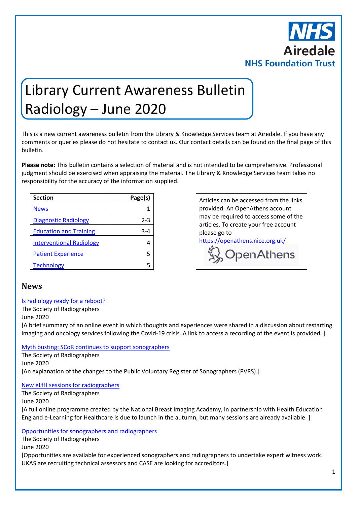

# Library Current Awareness Bulletin Radiology – June 2020

This is a new current awareness bulletin from the Library & Knowledge Services team at Airedale. If you have any comments or queries please do not hesitate to contact us. Our contact details can be found on the final page of this bulletin.

**Please note:** This bulletin contains a selection of material and is not intended to be comprehensive. Professional judgment should be exercised when appraising the material. The Library & Knowledge Services team takes no responsibility for the accuracy of the information supplied.

| <b>Section</b>                  | Page(s) |
|---------------------------------|---------|
| <b>News</b>                     |         |
| <b>Diagnostic Radiology</b>     | 2-3     |
| <b>Education and Training</b>   | 3-4     |
| <b>Interventional Radiology</b> |         |
| <b>Patient Experience</b>       | 5       |
| <b>Technology</b>               |         |

**Section Page(s)** Empty cell Articles can be accessed from the links provided. An OpenAthens account may be required to access some of the articles. To create your free account please go to <https://openathens.nice.org.uk/>

WopenAthens

#### <span id="page-0-0"></span>**News**

#### [Is radiology ready for a reboot?](https://www.sor.org/news/radiology-ready-reboot)

The Society of Radiographers

June 2020

[A brief summary of an online event in which thoughts and experiences were shared in a discussion about restarting imaging and oncology services following the Covid-19 crisis. A link to access a recording of the event is provided. ]

#### [Myth busting: SCoR continues to support sonographers](https://www.sor.org/news/myth-busting-scor-continues-support-sonographers)

The Society of Radiographers June 2020 [An explanation of the changes to the Public Voluntary Register of Sonographers (PVRS).]

#### [New eLfH sessions for radiographers](https://www.sor.org/news/new-elfh-sessions-radiographers)

The Society of Radiographers

June 2020

[A full online programme created by the National Breast Imaging Academy, in partnership with Health Education England e-Learning for Healthcare is due to launch in the autumn, but many sessions are already available. ]

#### [Opportunities for sonographers and radiographers](https://www.sor.org/news/opportunities-sonographers-and-radiographers)

The Society of Radiographers

June 2020

[Opportunities are available for experienced sonographers and radiographers to undertake expert witness work. UKAS are recruiting technical assessors and CASE are looking for accreditors.]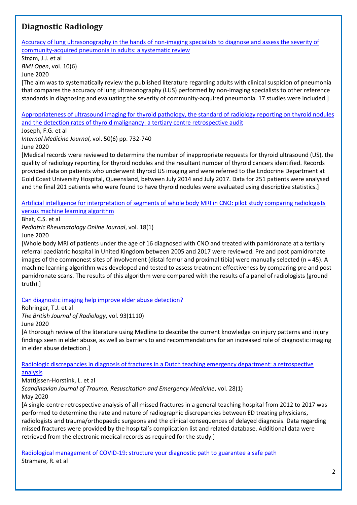## <span id="page-1-0"></span>**Diagnostic Radiology**

[Accuracy of lung ultrasonography in the hands of non-imaging specialists to diagnose and assess the severity of](http://europepmc.org/article/MED/32554727?singleResult=true)  [community-acquired pneumonia in adults: a systematic review](http://europepmc.org/article/MED/32554727?singleResult=true)

Strøm, J.J. et al

*BMJ Open*, vol. 10(6)

June 2020

[The aim was to systematically review the published literature regarding adults with clinical suspicion of pneumonia that compares the accuracy of lung ultrasonography (LUS) performed by non-imaging specialists to other reference standards in diagnosing and evaluating the severity of community-acquired pneumonia. 17 studies were included.]

[Appropriateness of ultrasound imaging for thyroid pathology, the standard of radiology reporting on thyroid nodules](https://onlinelibrary.wiley.com/doi/pdfdirect/10.1111/imj.14401)  [and the detection rates of thyroid malignancy: a tertiary centre retrospective audit](https://onlinelibrary.wiley.com/doi/pdfdirect/10.1111/imj.14401)

Joseph, F.G. et al

*Internal Medicine Journal*, vol. 50(6) pp. 732-740

June 2020

[Medical records were reviewed to determine the number of inappropriate requests for thyroid ultrasound (US), the quality of radiology reporting for thyroid nodules and the resultant number of thyroid cancers identified. Records provided data on patients who underwent thyroid US imaging and were referred to the Endocrine Department at Gold Coast University Hospital, Queensland, between July 2014 and July 2017. Data for 251 patients were analysed and the final 201 patients who were found to have thyroid nodules were evaluated using descriptive statistics.]

#### [Artificial intelligence for interpretation of segments of whole body MRI in CNO: pilot study comparing radiologists](https://ped-rheum.biomedcentral.com/articles/10.1186/s12969-020-00442-9)  [versus machine learning algorithm](https://ped-rheum.biomedcentral.com/articles/10.1186/s12969-020-00442-9)

Bhat, C.S. et al

*Pediatric Rheumatology Online Journal*, vol. 18(1)

June 2020

[Whole body MRI of patients under the age of 16 diagnosed with CNO and treated with pamidronate at a tertiary referral paediatric hospital in United Kingdom between 2005 and 2017 were reviewed. Pre and post pamidronate images of the commonest sites of involvement (distal femur and proximal tibia) were manually selected (n = 45). A machine learning algorithm was developed and tested to assess treatment effectiveness by comparing pre and post pamidronate scans. The results of this algorithm were compared with the results of a panel of radiologists (ground truth).]

[Can diagnostic imaging help improve elder abuse detection?](https://www.birpublications.org/doi/10.1259/bjr.20190632)

Rohringer, T.J. et al

*The British Journal of Radiology*, vol. 93(1110)

June 2020

[A thorough review of the literature using Medline to describe the current knowledge on injury patterns and injury findings seen in elder abuse, as well as barriers to and recommendations for an increased role of diagnostic imaging in elder abuse detection.]

[Radiologic discrepancies in diagnosis of fractures in a Dutch teaching emergency department: a retrospective](https://sjtrem.biomedcentral.com/articles/10.1186/s13049-020-00727-8)  [analysis](https://sjtrem.biomedcentral.com/articles/10.1186/s13049-020-00727-8)

Mattijssen-Horstink, L. et al

*Scandinavian Journal of Trauma, Resuscitation and Emergency Medicine*, vol. 28(1) May 2020

[A single-centre retrospective analysis of all missed fractures in a general teaching hospital from 2012 to 2017 was performed to determine the rate and nature of radiographic discrepancies between ED treating physicians, radiologists and trauma/orthopaedic surgeons and the clinical consequences of delayed diagnosis. Data regarding missed fractures were provided by the hospital's complication list and related database. Additional data were retrieved from the electronic medical records as required for the study.]

[Radiological management of COVID-19: structure your diagnostic path to guarantee a safe path](https://link.springer.com/content/pdf/10.1007/s11547-020-01231-w.pdf) Stramare, R. et al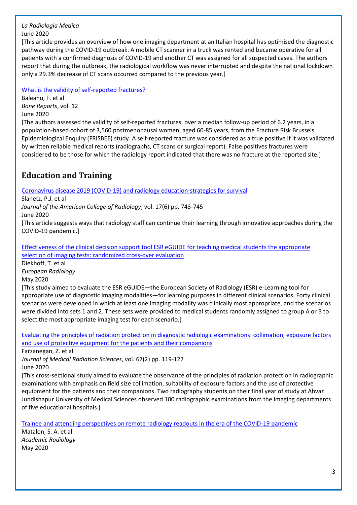#### *La Radiologia Medica* June 2020

[This article provides an overview of how one imaging department at an Italian hospital has optimised the diagnostic pathway during the COVID-19 outbreak. A mobile CT scanner in a truck was rented and became operative for all patients with a confirmed diagnosis of COVID-19 and another CT was assigned for all suspected cases. The authors report that during the outbreak, the radiological workflow was never interrupted and despite the national lockdown only a 29.3% decrease of CT scans occurred compared to the previous year.]

[What is the validity of self-reported fractures?](http://europepmc.org/article/MED/32382588?singleResult=true)

Baleanu, F. et al *Bone Reports*, vol. 12 June 2020

[The authors assessed the validity of self-reported fractures, over a median follow-up period of 6.2 years, in a population-based cohort of 3,560 postmenopausal women, aged 60-85 years, from the Fracture Risk Brussels Epidemiological Enquiry (FRISBEE) study. A self-reported fracture was considered as a true positive if it was validated by written reliable medical reports (radiographs, CT scans or surgical report). False positives fractures were considered to be those for which the radiology report indicated that there was no fracture at the reported site.]

# <span id="page-2-0"></span>**Education and Training**

Coronavirus disease 2019 [\(COVID-19\) and radiology education-strategies for survival](https://www.jacr.org/article/S1546-1440(20)30371-9/pdf)

Slanetz, P.J. et al *Journal of the American College of Radiology*, vol. 17(6) pp. 743-745

June 2020

[This article suggests ways that radiology staff can continue their learning through innovative approaches during the COVID-19 pandemic.]

Effectiveness of the [clinical decision support tool ESR eGUIDE for teaching medical students the appropriate](https://link.springer.com/content/pdf/10.1007/s00330-020-06942-2.pdf)  [selection of imaging tests: randomized cross-over evaluation](https://link.springer.com/content/pdf/10.1007/s00330-020-06942-2.pdf)

Diekhoff, T. et al *European Radiology* May 2020

[This study aimed to evaluate the ESR eGUIDE—the European Society of Radiology (ESR) e-Learning tool for appropriate use of diagnostic imaging modalities—for learning purposes in different clinical scenarios. Forty clinical scenarios were developed in which at least one imaging modality was clinically most appropriate, and the scenarios were divided into sets 1 and 2. These sets were provided to medical students randomly assigned to group A or B to select the most appropriate imaging test for each scenario.]

[Evaluating the principles of radiation protection in diagnostic radiologic examinations: collimation, exposure factors](http://europepmc.org/article/MED/32149477?singleResult=true)  [and use of protective equipment for the patients and their companions](http://europepmc.org/article/MED/32149477?singleResult=true)

Farzanegan, Z. et al

*Journal of Medical Radiation Sciences*, vol. 67(2) pp. 119-127 June 2020

[This cross-sectional study aimed to evaluate the observance of the principles of radiation protection in radiographic examinations with emphasis on field size collimation, suitability of exposure factors and the use of protective equipment for the patients and their companions. Two radiography students on their final year of study at Ahvaz Jundishapur University of Medical Sciences observed 100 radiographic examinations from the imaging departments of five educational hospitals.]

[Trainee and attending perspectives on remote radiology readouts in the era of the COVID-19 pandemic](https://www.academicradiology.org/article/S1076-6332(20)30295-6/pdf)

Matalon, S. A. et al *Academic Radiology* May 2020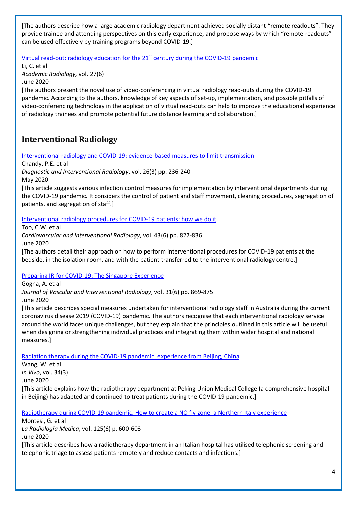[The authors describe how a large academic radiology department achieved socially distant "remote readouts". They provide trainee and attending perspectives on this early experience, and propose ways by which "remote readouts" can be used effectively by training programs beyond COVID-19.]

#### Virtual read-out: radiology education for the  $21<sup>st</sup>$  century during the COVID-19 pandemic

Li, C. et al *Academic Radiology,* vol. 27(6) June 2020

[The authors present the novel use of video-conferencing in virtual radiology read-outs during the COVID-19 pandemic. According to the authors, knowledge of key aspects of set-up, implementation, and possible pitfalls of video-conferencing technology in the application of virtual read-outs can help to improve the educational experience of radiology trainees and promote potential future distance learning and collaboration.]

## <span id="page-3-0"></span>**Interventional Radiology**

[Interventional radiology and COVID-19: evidence-based measures to limit transmission](http://europepmc.org/article/MED/32229433?singleResult=true)

Chandy, P.E. et al

*Diagnostic and Interventional Radiology*, vol. 26(3) pp. 236-240

May 2020

[This article suggests various infection control measures for implementation by interventional departments during the COVID-19 pandemic. It considers the control of patient and staff movement, cleaning procedures, segregation of patients, and segregation of staff.]

[Interventional radiology procedures for COVID-19 patients: how we do it](https://link.springer.com/content/pdf/10.1007/s00270-020-02483-9.pdf)

Too, C.W. et al

*Cardiovascular and Interventional Radiology*, vol. 43(6) pp. 827-836 June 2020

[The authors detail their approach on how to perform interventional procedures for COVID-19 patients at the bedside, in the isolation room, and with the patient transferred to the interventional radiology centre.]

[Preparing IR for COVID-19: The Singapore Experience](https://www.jvir.org/article/S1051-0443(20)30335-3/pdf)

Gogna, A. et al

*Journal of Vascular and Interventional Radiology*, vol. 31(6) pp. 869-875 June 2020

[This article describes special measures undertaken for interventional radiology staff in Australia during the current coronavirus disease 2019 (COVID-19) pandemic. The authors recognise that each interventional radiology service around the world faces unique challenges, but they explain that the principles outlined in this article will be useful when designing or strengthening individual practices and integrating them within wider hospital and national measures.]

[Radiation therapy during the COVID-19 pandemic: experience from Beijing, China](http://iv.iiarjournals.org/content/34/3_suppl/1675.full.pdf)

Wang, W. et al *In Vivo*, vol. 34(3) June 2020 [This article explains how the radiotherapy department at Peking Union Medical College (a comprehensive hospital in Beijing) has adapted and continued to treat patients during the COVID-19 pandemic.]

[Radiotherapy during COVID-19 pandemic. How to create a NO fly zone: a Northern Italy experience](https://link.springer.com/content/pdf/10.1007/s11547-020-01217-8.pdf)

Montesi, G. et al *La Radiologia Medica*, vol. 125(6) p. 600-603 June 2020

[This article describes how a radiotherapy department in an Italian hospital has utilised telephonic screening and telephonic triage to assess patients remotely and reduce contacts and infections.]